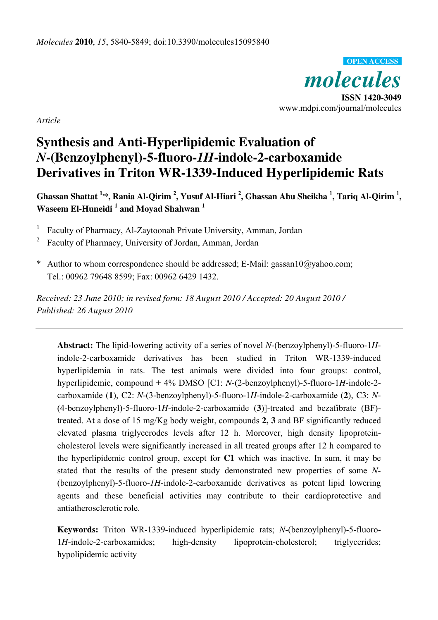*molecules*  **ISSN 1420-3049**  www.mdpi.com/journal/molecules **OPEN ACCESS**

*Article* 

# **Synthesis and Anti-Hyperlipidemic Evaluation of**  *N***-(Benzoylphenyl)-5-fluoro-***1H***-indole-2-carboxamide Derivatives in Triton WR-1339-Induced Hyperlipidemic Rats**

**Ghassan Shattat 1,\*, Rania Al-Qirim <sup>2</sup> , Yusuf Al-Hiari <sup>2</sup> , Ghassan Abu Sheikha <sup>1</sup> , Tariq Al-Qirim <sup>1</sup> , Waseem El-Huneidi <sup>1</sup> and Moyad Shahwan <sup>1</sup>** 

<sup>1</sup> Faculty of Pharmacy, Al-Zaytoonah Private University, Amman, Jordan

- 2 Faculty of Pharmacy, University of Jordan, Amman, Jordan
- \* Author to whom correspondence should be addressed; E-Mail: gassan10@yahoo.com; Tel.: 00962 79648 8599; Fax: 00962 6429 1432.

*Received: 23 June 2010; in revised form: 18 August 2010 / Accepted: 20 August 2010 / Published: 26 August 2010* 

**Abstract:** The lipid-lowering activity of a series of novel *N*-(benzoylphenyl)-5-fluoro-1*H*indole-2-carboxamide derivatives has been studied in Triton WR-1339-induced hyperlipidemia in rats. The test animals were divided into four groups: control, hyperlipidemic, compound + 4% DMSO [C1: *N*-(2-benzoylphenyl)-5-fluoro-1*H*-indole-2 carboxamide (**1**), C2: *N*-(3-benzoylphenyl)-5-fluoro-1*H*-indole-2-carboxamide (**2**), C3: *N*- (4-benzoylphenyl)-5-fluoro-1*H*-indole-2-carboxamide (**3**)]-treated and bezafibrate (BF) treated. At a dose of 15 mg/Kg body weight, compounds **2, 3** and BF significantly reduced elevated plasma triglycerodes levels after 12 h. Moreover, high density lipoproteincholesterol levels were significantly increased in all treated groups after 12 h compared to the hyperlipidemic control group, except for **C1** which was inactive. In sum, it may be stated that the results of the present study demonstrated new properties of some *N*- (benzoylphenyl)-5-fluoro-*1H*-indole-2-carboxamide derivatives as potent lipid lowering agents and these beneficial activities may contribute to their cardioprotective and antiatherosclerotic role.

**Keywords:** Triton WR-1339-induced hyperlipidemic rats; *N*-(benzoylphenyl)-5-fluoro-1*H*-indole-2-carboxamides; high-density lipoprotein-cholesterol; triglycerides; hypolipidemic activity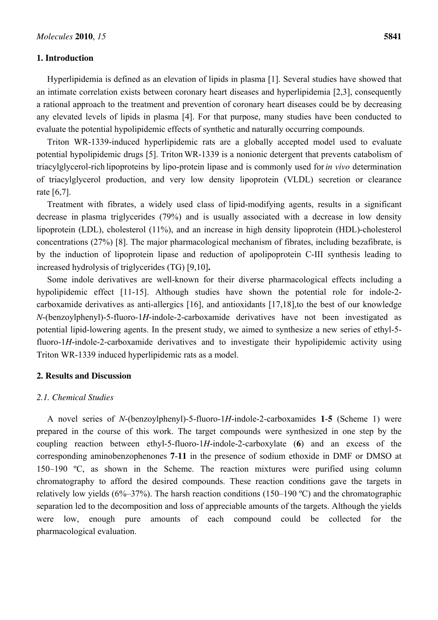#### **1. Introduction**

Hyperlipidemia is defined as an elevation of lipids in plasma [1]. Several studies have showed that an intimate correlation exists between coronary heart diseases and hyperlipidemia [2,3], consequently a rational approach to the treatment and prevention of coronary heart diseases could be by decreasing any elevated levels of lipids in plasma [4]. For that purpose, many studies have been conducted to evaluate the potential hypolipidemic effects of synthetic and naturally occurring compounds.

Triton WR-1339-induced hyperlipidemic rats are a globally accepted model used to evaluate potential hypolipidemic drugs [5]. Triton WR-1339 is a nonionic detergent that prevents catabolism of triacylglycerol-rich lipoproteins by lipo-protein lipase and is commonly used for *in vivo* determination of triacylglycerol production, and very low density lipoprotein (VLDL) secretion or clearance rate [6,7].

Treatment with fibrates, a widely used class of lipid-modifying agents, results in a significant decrease in plasma triglycerides (79%) and is usually associated with a decrease in low density lipoprotein (LDL), cholesterol (11%), and an increase in high density lipoprotein (HDL)-cholesterol concentrations (27%) [8]. The major pharmacological mechanism of fibrates, including bezafibrate, is by the induction of lipoprotein lipase and reduction of apolipoprotein C-III synthesis leading to increased hydrolysis of triglycerides (TG) [9,10]**.** 

Some indole derivatives are well-known for their diverse pharmacological effects including a hypolipidemic effect [11-15]. Although studies have shown the potential role for indole-2 carboxamide derivatives as anti-allergics [16], and antioxidants [17,18],to the best of our knowledge *N*-(benzoylphenyl)-5-fluoro-1*H*-indole-2-carboxamide derivatives have not been investigated as potential lipid-lowering agents. In the present study, we aimed to synthesize a new series of ethyl-5 fluoro-1*H*-indole-2-carboxamide derivatives and to investigate their hypolipidemic activity using Triton WR-1339 induced hyperlipidemic rats as a model.

#### **2. Results and Discussion**

#### *2.1. Chemical Studies*

A novel series of *N*-(benzoylphenyl)-5-fluoro-1*H*-indole-2-carboxamides **1**-**5** (Scheme 1) were prepared in the course of this work. The target compounds were synthesized in one step by the coupling reaction between ethyl-5-fluoro-1*H*-indole-2-carboxylate (**6**) and an excess of the corresponding aminobenzophenones **7**-**11** in the presence of sodium ethoxide in DMF or DMSO at 150–190 ºC, as shown in the Scheme. The reaction mixtures were purified using column chromatography to afford the desired compounds. These reaction conditions gave the targets in relatively low yields (6%–37%). The harsh reaction conditions (150–190 °C) and the chromatographic separation led to the decomposition and loss of appreciable amounts of the targets. Although the yields were low, enough pure amounts of each compound could be collected for the pharmacological evaluation.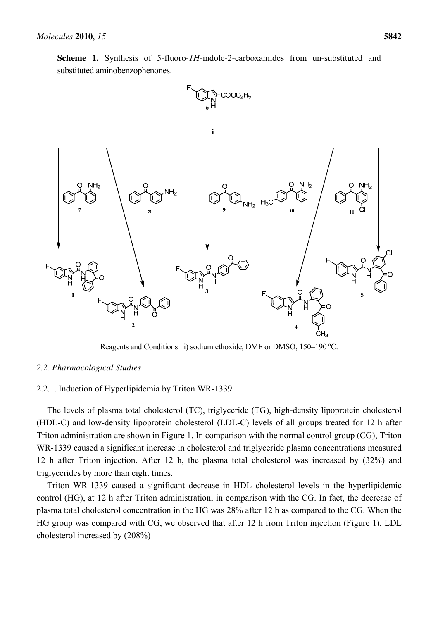

Reagents and Conditions: i) sodium ethoxide, DMF or DMSO, 150–190 ºC.

# *2.2. Pharmacological Studies*

# 2.2.1. Induction of Hyperlipidemia by Triton WR-1339

The levels of plasma total cholesterol (TC), triglyceride (TG), high-density lipoprotein cholesterol (HDL-C) and low-density lipoprotein cholesterol (LDL-C) levels of all groups treated for 12 h after Triton administration are shown in Figure 1. In comparison with the normal control group (CG), Triton WR-1339 caused a significant increase in cholesterol and triglyceride plasma concentrations measured 12 h after Triton injection. After 12 h, the plasma total cholesterol was increased by (32%) and triglycerides by more than eight times.

Triton WR-1339 caused a significant decrease in HDL cholesterol levels in the hyperlipidemic control (HG), at 12 h after Triton administration, in comparison with the CG. In fact, the decrease of plasma total cholesterol concentration in the HG was 28% after 12 h as compared to the CG. When the HG group was compared with CG, we observed that after 12 h from Triton injection (Figure 1), LDL cholesterol increased by (208%)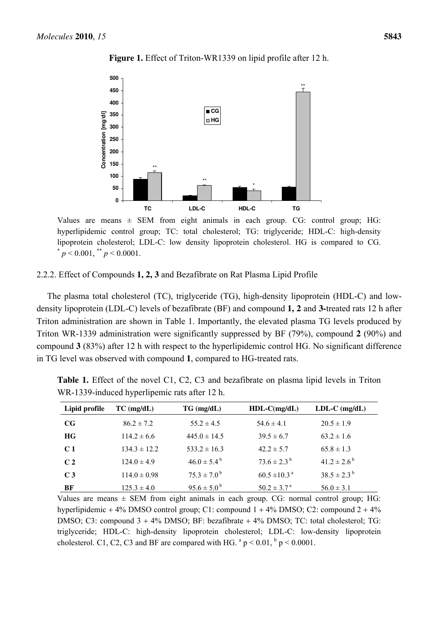

**Figure 1.** Effect of Triton-WR1339 on lipid profile after 12 h.

Values are means  $\pm$  SEM from eight animals in each group. CG: control group; HG: hyperlipidemic control group; TC: total cholesterol; TG: triglyceride; HDL-C: high-density lipoprotein cholesterol; LDL-C: low density lipoprotein cholesterol. HG is compared to CG.  $p < 0.001,$   $\binom{4}{3}$   $p < 0.0001$ .

#### 2.2.2. Effect of Compounds **1, 2, 3** and Bezafibrate on Rat Plasma Lipid Profile

The plasma total cholesterol (TC), triglyceride (TG), high-density lipoprotein (HDL-C) and lowdensity lipoprotein (LDL-C) levels of bezafibrate (BF) and compound **1, 2** and **3-**treated rats 12 h after Triton administration are shown in Table 1. Importantly, the elevated plasma TG levels produced by Triton WR-1339 administration were significantly suppressed by BF (79%), compound **2** (90%) and compound **3** (83%) after 12 h with respect to the hyperlipidemic control HG. No significant difference in TG level was observed with compound **1**, compared to HG-treated rats.

| Lipid profile  | $TC$ (mg/dL)     | $TG \, (mg/dL)$             | $HDL-C(mg/dL)$               | $LDL-C$ (mg/dL)        |
|----------------|------------------|-----------------------------|------------------------------|------------------------|
| $_{\rm CG}$    | $86.2 \pm 7.2$   | $55.2 \pm 4.5$              | $54.6 \pm 4.1$               | $20.5 \pm 1.9$         |
| <b>HG</b>      | $114.2 \pm 6.6$  | $445.0 \pm 14.5$            | $39.5 \pm 6.7$               | $63.2 \pm 1.6$         |
| C <sub>1</sub> | $134.3 \pm 12.2$ | $533.2 \pm 16.3$            | $42.2 \pm 5.7$               | $65.8 \pm 1.3$         |
| C <sub>2</sub> | $124.0 \pm 4.9$  | $46.0 \pm 5.4^{\circ}$      | $73.6 \pm 2.3^{b}$           | $41.2 \pm 2.6^{\circ}$ |
| C <sub>3</sub> | $114.0 \pm 0.98$ | $75.3 \pm 7.0^{\mathrm{b}}$ | $60.5 \pm 10.3$ <sup>a</sup> | $38.5 \pm 2.3^{b}$     |
| BF             | $125.3 \pm 4.0$  | $95.6 \pm 5.0^{\circ}$      | $50.2 \pm 3.7^{\text{a}}$    | $56.0 \pm 3.1$         |

**Table 1.** Effect of the novel C1, C2, C3 and bezafibrate on plasma lipid levels in Triton WR-1339-induced hyperlipemic rats after 12 h.

Values are means  $\pm$  SEM from eight animals in each group. CG: normal control group; HG: hyperlipidemic  $+4\%$  DMSO control group; C1: compound  $1 + 4\%$  DMSO; C2: compound  $2 + 4\%$ DMSO; C3: compound  $3 + 4\%$  DMSO; BF: bezafibrate  $+ 4\%$  DMSO; TC: total cholesterol; TG: triglyceride; HDL-C: high-density lipoprotein cholesterol; LDL-C: low-density lipoprotein cholesterol. C1, C2, C3 and BF are compared with HG.  $^{a}$  p < 0.01,  $^{b}$  p < 0.0001.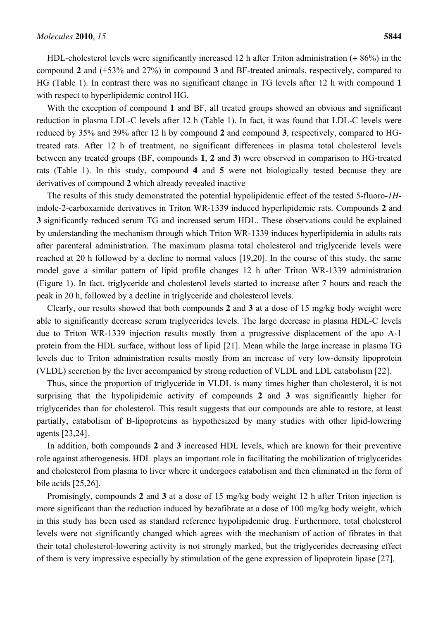HDL-cholesterol levels were significantly increased 12 h after Triton administration  $(+ 86%)$  in the compound **2** and (+53% and 27%) in compound **3** and BF-treated animals, respectively, compared to HG (Table 1). In contrast there was no significant change in TG levels after 12 h with compound **1**  with respect to hyperlipidemic control HG.

With the exception of compound **1** and BF, all treated groups showed an obvious and significant reduction in plasma LDL-C levels after 12 h (Table 1). In fact, it was found that LDL-C levels were reduced by 35% and 39% after 12 h by compound **2** and compound **3**, respectively, compared to HGtreated rats. After 12 h of treatment, no significant differences in plasma total cholesterol levels between any treated groups (BF, compounds **1**, **2** and **3**) were observed in comparison to HG-treated rats (Table 1). In this study, compound **4** and **5** were not biologically tested because they are derivatives of compound **2** which already revealed inactive

The results of this study demonstrated the potential hypolipidemic effect of the tested 5-fluoro-*1H*indole-2-carboxamide derivatives in Triton WR-1339 induced hyperlipidemic rats. Compounds **2** and **3** significantly reduced serum TG and increased serum HDL. These observations could be explained by understanding the mechanism through which Triton WR-1339 induces hyperlipidemia in adults rats after parenteral administration. The maximum plasma total cholesterol and triglyceride levels were reached at 20 h followed by a decline to normal values [19,20]. In the course of this study, the same model gave a similar pattern of lipid profile changes 12 h after Triton WR-1339 administration (Figure 1). In fact, triglyceride and cholesterol levels started to increase after 7 hours and reach the peak in 20 h, followed by a decline in triglyceride and cholesterol levels.

Clearly, our results showed that both compounds **2** and **3** at a dose of 15 mg/kg body weight were able to significantly decrease serum triglycerides levels. The large decrease in plasma HDL-C levels due to Triton WR-1339 injection results mostly from a progressive displacement of the apo A-1 protein from the HDL surface, without loss of lipid [21]. Mean while the large increase in plasma TG levels due to Triton administration results mostly from an increase of very low-density lipoprotein (VLDL) secretion by the liver accompanied by strong reduction of VLDL and LDL catabolism [22].

Thus, since the proportion of triglyceride in VLDL is many times higher than cholesterol, it is not surprising that the hypolipidemic activity of compounds **2** and **3** was significantly higher for triglycerides than for cholesterol. This result suggests that our compounds are able to restore, at least partially, catabolism of B-lipoproteins as hypothesized by many studies with other lipid-lowering agents [23,24].

In addition, both compounds **2** and **3** increased HDL levels, which are known for their preventive role against atherogenesis. HDL plays an important role in facilitating the mobilization of triglycerides and cholesterol from plasma to liver where it undergoes catabolism and then eliminated in the form of bile acids [25,26].

Promisingly, compounds **2** and **3** at a dose of 15 mg/kg body weight 12 h after Triton injection is more significant than the reduction induced by bezafibrate at a dose of 100 mg/kg body weight, which in this study has been used as standard reference hypolipidemic drug. Furthermore, total cholesterol levels were not significantly changed which agrees with the mechanism of action of fibrates in that their total cholesterol-lowering activity is not strongly marked, but the triglycerides decreasing effect of them is very impressive especially by stimulation of the gene expression of lipoprotein lipase [27].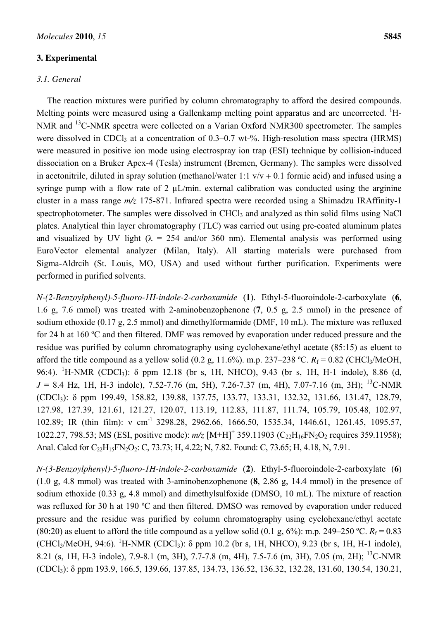#### **3. Experimental**

#### *3.1. General*

The reaction mixtures were purified by column chromatography to afford the desired compounds. Melting points were measured using a Gallenkamp melting point apparatus and are uncorrected. <sup>1</sup>H-NMR and <sup>13</sup>C-NMR spectra were collected on a Varian Oxford NMR300 spectrometer. The samples were dissolved in CDCl<sub>3</sub> at a concentration of  $0.3-0.7$  wt-%. High-resolution mass spectra (HRMS) were measured in positive ion mode using electrospray ion trap (ESI) technique by collision-induced dissociation on a Bruker Apex-4 (Tesla) instrument (Bremen, Germany). The samples were dissolved in acetonitrile, diluted in spray solution (methanol/water 1:1  $v/v + 0.1$  formic acid) and infused using a syringe pump with a flow rate of 2  $\mu$ L/min. external calibration was conducted using the arginine cluster in a mass range *m/z* 175-871. Infrared spectra were recorded using a Shimadzu IRAffinity-1 spectrophotometer. The samples were dissolved in CHCl<sub>3</sub> and analyzed as thin solid films using NaCl plates. Analytical thin layer chromatography (TLC) was carried out using pre-coated aluminum plates and visualized by UV light ( $\lambda = 254$  and/or 360 nm). Elemental analysis was performed using EuroVector elemental analyzer (Milan, Italy). All starting materials were purchased from Sigma-Aldrcih (St. Louis, MO, USA) and used without further purification. Experiments were performed in purified solvents.

*N-(2-Benzoylphenyl)-5-fluoro-1H-indole-2-carboxamide* (**1**). Ethyl-5-fluoroindole-2-carboxylate (**6**, 1.6 g, 7.6 mmol) was treated with 2-aminobenzophenone (**7**, 0.5 g, 2.5 mmol) in the presence of sodium ethoxide (0.17 g, 2.5 mmol) and dimethylformamide (DMF, 10 mL). The mixture was refluxed for 24 h at 160 ºC and then filtered. DMF was removed by evaporation under reduced pressure and the residue was purified by column chromatography using cyclohexane/ethyl acetate (85:15) as eluent to afford the title compound as a yellow solid (0.2 g, 11.6%). m.p. 237–238 °C.  $R_f = 0.82$  (CHCl<sub>3</sub>/MeOH, 96:4). <sup>1</sup>H-NMR (CDCl<sub>3</sub>): δ ppm 12.18 (br s, 1H, NHCO), 9.43 (br s, 1H, H-1 indole), 8.86 (d,  $J = 8.4$  Hz, 1H, H-3 indole), 7.52-7.76 (m, 5H), 7.26-7.37 (m, 4H), 7.07-7.16 (m, 3H); <sup>13</sup>C-NMR (CDCl3): δ ppm 199.49, 158.82, 139.88, 137.75, 133.77, 133.31, 132.32, 131.66, 131.47, 128.79, 127.98, 127.39, 121.61, 121.27, 120.07, 113.19, 112.83, 111.87, 111.74, 105.79, 105.48, 102.97, 102.89; IR (thin film): ν cm-1 3298.28, 2962.66, 1666.50, 1535.34, 1446.61, 1261.45, 1095.57, 1022.27, 798.53; MS (ESI, positive mode):  $m/z$  [M+H]<sup>+</sup> 359.11903 (C<sub>22</sub>H<sub>16</sub>FN<sub>2</sub>O<sub>2</sub> requires 359.11958); Anal. Calcd for C<sub>22</sub>H<sub>15</sub>FN<sub>2</sub>O<sub>2</sub>: C, 73.73; H, 4.22; N, 7.82. Found: C, 73.65; H, 4.18, N, 7.91.

*N-(3-Benzoylphenyl)-5-fluoro-1H-indole-2-carboxamide* (**2**). Ethyl-5-fluoroindole-2-carboxylate (**6**) (1.0 g, 4.8 mmol) was treated with 3-aminobenzophenone (**8**, 2.86 g, 14.4 mmol) in the presence of sodium ethoxide (0.33 g, 4.8 mmol) and dimethylsulfoxide (DMSO, 10 mL). The mixture of reaction was refluxed for 30 h at 190 °C and then filtered. DMSO was removed by evaporation under reduced pressure and the residue was purified by column chromatography using cyclohexane/ethyl acetate (80:20) as eluent to afford the title compound as a yellow solid (0.1 g, 6%): m.p. 249–250 °C.  $R_f = 0.83$  $(CHCl<sub>3</sub>/MeOH, 94:6)$ .  $^{1}$ H-NMR  $(CDC1<sub>3</sub>)$ :  $\delta$  ppm 10.2 (br s, 1H, NHCO), 9.23 (br s, 1H, H-1 indole), 8.21 (s, 1H, H-3 indole), 7.9-8.1 (m, 3H), 7.7-7.8 (m, 4H), 7.5-7.6 (m, 3H), 7.05 (m, 2H); <sup>13</sup>C-NMR (CDCl3): δ ppm 193.9, 166.5, 139.66, 137.85, 134.73, 136.52, 136.32, 132.28, 131.60, 130.54, 130.21,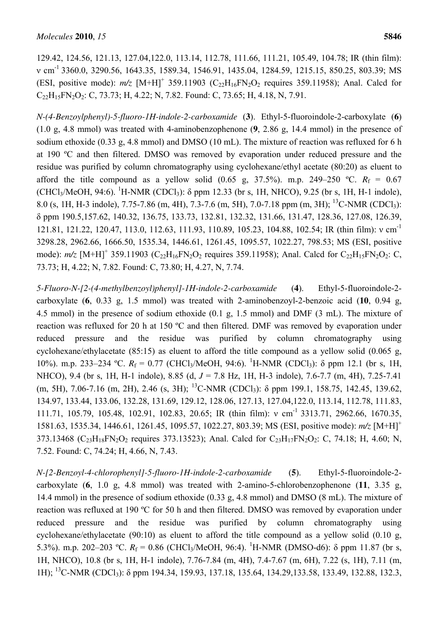129.42, 124.56, 121.13, 127.04,122.0, 113.14, 112.78, 111.66, 111.21, 105.49, 104.78; IR (thin film): ν cm-1 3360.0, 3290.56, 1643.35, 1589.34, 1546.91, 1435.04, 1284.59, 1215.15, 850.25, 803.39; MS (ESI, positive mode):  $m/z$  [M+H]<sup>+</sup> 359.11903 (C<sub>22</sub>H<sub>16</sub>FN<sub>2</sub>O<sub>2</sub> requires 359.11958); Anal. Calcd for C<sub>22</sub>H<sub>15</sub>FN<sub>2</sub>O<sub>2</sub>: C, 73.73; H, 4.22; N, 7.82. Found: C, 73.65; H, 4.18, N, 7.91.

*N-(4-Benzoylphenyl)-5-fluoro-1H-indole-2-carboxamide* (**3**). Ethyl-5-fluoroindole-2-carboxylate (**6**) (1.0 g, 4.8 mmol) was treated with 4-aminobenzophenone (**9**, 2.86 g, 14.4 mmol) in the presence of sodium ethoxide (0.33 g, 4.8 mmol) and DMSO (10 mL). The mixture of reaction was refluxed for 6 h at 190 ºC and then filtered. DMSO was removed by evaporation under reduced pressure and the residue was purified by column chromatography using cyclohexane/ethyl acetate (80:20) as eluent to afford the title compound as a yellow solid  $(0.65 \text{ g}, 37.5\%)$ . m.p. 249–250 °C.  $R_f = 0.67$  $(CHCl<sub>3</sub>/MeOH, 94:6)$ .  ${}^{1}H-MMR$   $(CDCl<sub>3</sub>)$ :  $\delta$  ppm 12.33 (br s, 1H, NHCO), 9.25 (br s, 1H, H-1 indole), 8.0 (s, 1H, H-3 indole), 7.75-7.86 (m, 4H), 7.3-7.6 (m, 5H), 7.0-7.18 ppm (m, 3H); <sup>13</sup>C-NMR (CDCl<sub>3</sub>): δ ppm 190.5,157.62, 140.32, 136.75, 133.73, 132.81, 132.32, 131.66, 131.47, 128.36, 127.08, 126.39, 121.81, 121.22, 120.47, 113.0, 112.63, 111.93, 110.89, 105.23, 104.88, 102.54; IR (thin film): ν cm-1 3298.28, 2962.66, 1666.50, 1535.34, 1446.61, 1261.45, 1095.57, 1022.27, 798.53; MS (ESI, positive mode):  $m/z$  [M+H]<sup>+</sup> 359.11903 (C<sub>22</sub>H<sub>16</sub>FN<sub>2</sub>O<sub>2</sub> requires 359.11958); Anal. Calcd for C<sub>22</sub>H<sub>15</sub>FN<sub>2</sub>O<sub>2</sub>: C, 73.73; H, 4.22; N, 7.82. Found: C, 73.80; H, 4.27, N, 7.74.

*5-Fluoro-N-[2-(4-methylbenzoyl)phenyl]-1H-indole-2-carboxamide* (**4**). Ethyl-5-fluoroindole-2 carboxylate (**6**, 0.33 g, 1.5 mmol) was treated with 2-aminobenzoyl-2-benzoic acid (**10**, 0.94 g, 4.5 mmol) in the presence of sodium ethoxide (0.1 g, 1.5 mmol) and DMF (3 mL). The mixture of reaction was refluxed for 20 h at 150 ºC and then filtered. DMF was removed by evaporation under reduced pressure and the residue was purified by column chromatography using cyclohexane/ethylacetate (85:15) as eluent to afford the title compound as a yellow solid (0.065 g, 10%). m.p. 233–234 °C.  $R_f = 0.77$  (CHCl<sub>3</sub>/MeOH, 94:6). <sup>1</sup>H-NMR (CDCl<sub>3</sub>):  $\delta$  ppm 12.1 (br s, 1H, NHCO), 9.4 (br s, 1H, H-1 indole), 8.85 (d, *J* = 7.8 Hz, 1H, H-3 indole), 7.6-7.7 (m, 4H), 7.25-7.41 (m, 5H), 7.06-7.16 (m, 2H), 2.46 (s, 3H); <sup>13</sup>C-NMR (CDCl3): δ ppm 199.1, 158.75, 142.45, 139.62, 134.97, 133.44, 133.06, 132.28, 131.69, 129.12, 128.06, 127.13, 127.04,122.0, 113.14, 112.78, 111.83, 111.71, 105.79, 105.48, 102.91, 102.83, 20.65; IR (thin film): ν cm-1 3313.71, 2962.66, 1670.35, 1581.63, 1535.34, 1446.61, 1261.45, 1095.57, 1022.27, 803.39; MS (ESI, positive mode): *m/z* [M+H]<sup>+</sup> 373.13468 (C<sub>23</sub>H<sub>18</sub>FN<sub>2</sub>O<sub>2</sub> requires 373.13523); Anal. Calcd for C<sub>23</sub>H<sub>17</sub>FN<sub>2</sub>O<sub>2</sub>: C, 74.18; H, 4.60; N, 7.52. Found: C, 74.24; H, 4.66, N, 7.43.

*N-[2-Benzoyl-4-chlorophenyl]-5-fluoro-1H-indole-2-carboxamide* (**5**). Ethyl-5-fluoroindole-2 carboxylate (**6**, 1.0 g, 4.8 mmol) was treated with 2-amino-5-chlorobenzophenone (**11**, 3.35 g, 14.4 mmol) in the presence of sodium ethoxide (0.33 g, 4.8 mmol) and DMSO (8 mL). The mixture of reaction was refluxed at 190 ºC for 50 h and then filtered. DMSO was removed by evaporation under reduced pressure and the residue was purified by column chromatography using cyclohexane/ethylacetate (90:10) as eluent to afford the title compound as a yellow solid (0.10 g, 5.3%). m.p. 202–203 °C.  $R_f = 0.86$  (CHCl<sub>3</sub>/MeOH, 96:4). <sup>1</sup>H-NMR (DMSO-d6):  $\delta$  ppm 11.87 (br s, 1H, NHCO), 10.8 (br s, 1H, H-1 indole), 7.76-7.84 (m, 4H), 7.4-7.67 (m, 6H), 7.22 (s, 1H), 7.11 (m, 1H); <sup>13</sup>C-NMR (CDCl3): δ ppm 194.34, 159.93, 137.18, 135.64, 134.29,133.58, 133.49, 132.88, 132.3,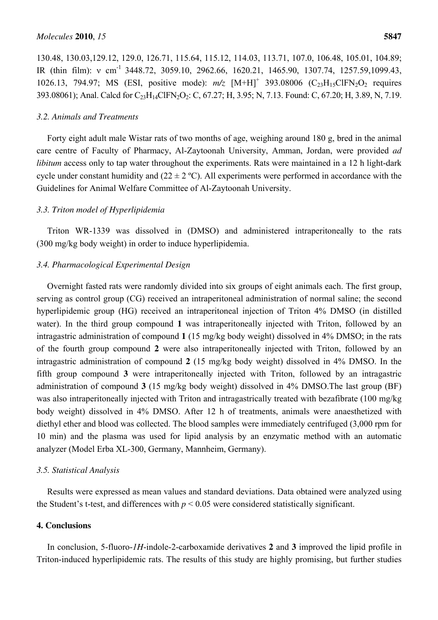130.48, 130.03,129.12, 129.0, 126.71, 115.64, 115.12, 114.03, 113.71, 107.0, 106.48, 105.01, 104.89; IR (thin film): ν cm-1 3448.72, 3059.10, 2962.66, 1620.21, 1465.90, 1307.74, 1257.59,1099.43, 1026.13, 794.97; MS (ESI, positive mode):  $m/z$  [M+H]<sup>+</sup> 393.08006 (C<sub>23</sub>H<sub>15</sub>ClFN<sub>2</sub>O<sub>2</sub> requires 393.08061); Anal. Calcd for C<sub>23</sub>H<sub>14</sub>ClFN<sub>2</sub>O<sub>2</sub>: C, 67.27; H, 3.95; N, 7.13. Found: C, 67.20; H, 3.89, N, 7.19.

# *3.2. Animals and Treatments*

Forty eight adult male Wistar rats of two months of age, weighing around 180 g, bred in the animal care centre of Faculty of Pharmacy, Al-Zaytoonah University, Amman, Jordan, were provided *ad libitum* access only to tap water throughout the experiments. Rats were maintained in a 12 h light-dark cycle under constant humidity and  $(22 \pm 2 \degree C)$ . All experiments were performed in accordance with the Guidelines for Animal Welfare Committee of Al-Zaytoonah University.

### *3.3. Triton model of Hyperlipidemia*

Triton WR-1339 was dissolved in (DMSO) and administered intraperitoneally to the rats (300 mg/kg body weight) in order to induce hyperlipidemia.

#### *3.4. Pharmacological Experimental Design*

Overnight fasted rats were randomly divided into six groups of eight animals each. The first group, serving as control group (CG) received an intraperitoneal administration of normal saline; the second hyperlipidemic group (HG) received an intraperitoneal injection of Triton 4% DMSO (in distilled water). In the third group compound **1** was intraperitoneally injected with Triton, followed by an intragastric administration of compound **1** (15 mg/kg body weight) dissolved in 4% DMSO; in the rats of the fourth group compound **2** were also intraperitoneally injected with Triton, followed by an intragastric administration of compound **2** (15 mg/kg body weight) dissolved in 4% DMSO. In the fifth group compound **3** were intraperitoneally injected with Triton, followed by an intragastric administration of compound **3** (15 mg/kg body weight) dissolved in 4% DMSO.The last group (BF) was also intraperitoneally injected with Triton and intragastrically treated with bezafibrate (100 mg/kg body weight) dissolved in 4% DMSO. After 12 h of treatments, animals were anaesthetized with diethyl ether and blood was collected. The blood samples were immediately centrifuged (3,000 rpm for 10 min) and the plasma was used for lipid analysis by an enzymatic method with an automatic analyzer (Model Erba XL-300, Germany, Mannheim, Germany).

#### *3.5. Statistical Analysis*

Results were expressed as mean values and standard deviations. Data obtained were analyzed using the Student's t-test, and differences with  $p < 0.05$  were considered statistically significant.

# **4. Conclusions**

In conclusion, 5-fluoro-*1H*-indole-2-carboxamide derivatives **2** and **3** improved the lipid profile in Triton-induced hyperlipidemic rats. The results of this study are highly promising, but further studies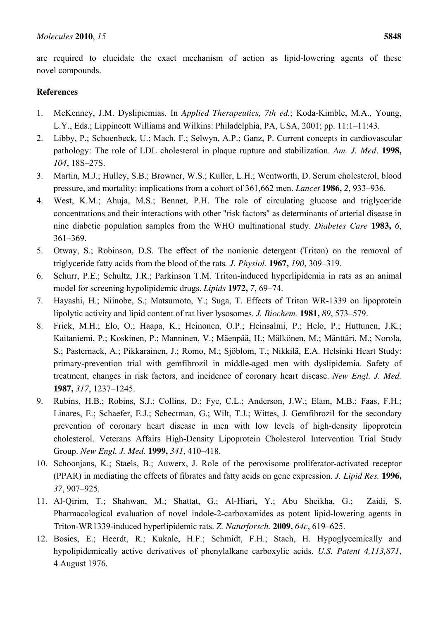are required to elucidate the exact mechanism of action as lipid-lowering agents of these novel compounds.

# **References**

- 1. McKenney, J.M. Dyslipiemias. In *Applied Therapeutics, 7th ed.*; Koda-Kimble, M.A., Young, L.Y., Eds.; Lippincott Williams and Wilkins: Philadelphia, PA, USA, 2001; pp. 11:1–11:43.
- 2. Libby, P.; Schoenbeck, U.; Mach, F.; Selwyn, A.P.; Ganz, P. Current concepts in cardiovascular pathology: The role of LDL cholesterol in plaque rupture and stabilization. *Am. J. Med*. **1998,** *104*, 18S–27S.
- 3. Martin, M.J.; Hulley, S.B.; Browner, W.S.; Kuller, L.H.; Wentworth, D. Serum cholesterol, blood pressure, and mortality: implications from a cohort of 361,662 men. *Lancet* **1986,** *2*, 933–936.
- 4. West, K.M.; Ahuja, M.S.; Bennet, P.H. The role of circulating glucose and triglyceride concentrations and their interactions with other "risk factors" as determinants of arterial disease in nine diabetic population samples from the WHO multinational study. *Diabetes Care* **1983,** *6*, 361–369.
- 5. Otway, S.; Robinson, D.S. The effect of the nonionic detergent (Triton) on the removal of triglyceride fatty acids from the blood of the rats*. J. Physiol.* **1967,** *190*, 309–319.
- 6. Schurr, P.E.; Schultz, J.R.; Parkinson T.M. Triton-induced hyperlipidemia in rats as an animal model for screening hypolipidemic drugs. *Lipids* **1972,** *7*, 69–74.
- 7. Hayashi, H.; Niinobe, S.; Matsumoto, Y.; Suga, T. Effects of Triton WR-1339 on lipoprotein lipolytic activity and lipid content of rat liver lysosomes. *J. Biochem.* **1981,** *89*, 573–579.
- 8. Frick, M.H.; Elo, O.; Haapa, K.; Heinonen, O.P.; Heinsalmi, P.; Helo, P.; Huttunen, J.K.; Kaitaniemi, P.; Koskinen, P.; Manninen, V.; Mäenpää, H.; Mälkönen, M.; Mänttäri, M.; Norola, S.; Pasternack, A.; Pikkarainen, J.; Romo, M.; Sjöblom, T.; Nikkilä, E.A. Helsinki Heart Study: primary-prevention trial with gemfibrozil in middle-aged men with dyslipidemia. Safety of treatment, changes in risk factors, and incidence of coronary heart disease. *New Engl. J. Med.*  **1987,** *317*, 1237–1245.
- 9. Rubins, H.B.; Robins, S.J.; Collins, D.; Fye, C.L.; Anderson, J.W.; Elam, M.B.; Faas, F.H.; Linares, E.; Schaefer, E.J.; Schectman, G.; Wilt, T.J.; Wittes, J. Gemfibrozil for the secondary prevention of coronary heart disease in men with low levels of high-density lipoprotein cholesterol. Veterans Affairs High-Density Lipoprotein Cholesterol Intervention Trial Study Group. *New Engl. J. Med.* **1999,** *341*, 410–418.
- 10. Schoonjans, K.; Staels, B.; Auwerx, J. Role of the peroxisome proliferator-activated receptor (PPAR) in mediating the effects of fibrates and fatty acids on gene expression. *J. Lipid Res.* **1996,**  *37*, 907–925.
- 11. Al-Qirim, T.; Shahwan, M.; Shattat, G.; Al-Hiari, Y.; Abu Sheikha, G.; Zaidi, S. Pharmacological evaluation of novel indole-2-carboxamides as potent lipid-lowering agents in Triton-WR1339-induced hyperlipidemic rats. *Z. Naturforsch.* **2009,** *64c*, 619–625.
- 12. Bosies, E.; Heerdt, R.; Kuknle, H.F.; Schmidt, F.H.; Stach, H. Hypoglycemically and hypolipidemically active derivatives of phenylalkane carboxylic acids. *U.S. Patent 4,113,871*, 4 August 1976.